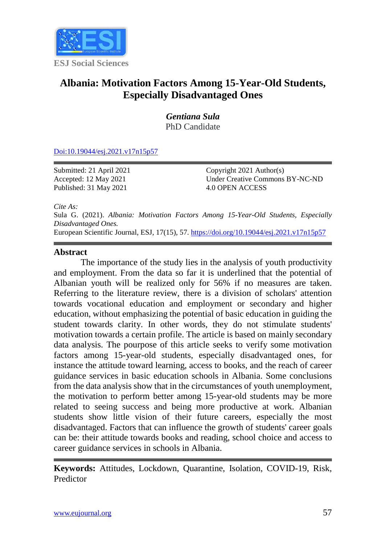

# **Albania: Motivation Factors Among 15-Year-Old Students, Especially Disadvantaged Ones**

*Gentiana Sula* PhD Candidate

[Doi:10.19044/esj.2021.v17n15p57](https://doi.org/10.19044/esj.2021.v17n15p1)

Submitted: 21 April 2021 Accepted: 12 May 2021 Published: 31 May 2021

Copyright 2021 Author(s) Under Creative Commons BY-NC-ND 4.0 OPEN ACCESS

*Cite As:*

Sula G. (2021). *Albania: Motivation Factors Among 15-Year-Old Students, Especially Disadvantaged Ones.* European Scientific Journal, ESJ, 17(15), 57.<https://doi.org/10.19044/esj.2021.v17n15p57>

## **Abstract**

The importance of the study lies in the analysis of youth productivity and employment. From the data so far it is underlined that the potential of Albanian youth will be realized only for 56% if no measures are taken. Referring to the literature review, there is a division of scholars' attention towards vocational education and employment or secondary and higher education, without emphasizing the potential of basic education in guiding the student towards clarity. In other words, they do not stimulate students' motivation towards a certain profile. The article is based on mainly secondary data analysis. The pourpose of this article seeks to verify some motivation factors among 15-year-old students, especially disadvantaged ones, for instance the attitude toward learning, access to books, and the reach of career guidance services in basic education schools in Albania. Some conclusions from the data analysis show that in the circumstances of youth unemployment, the motivation to perform better among 15-year-old students may be more related to seeing success and being more productive at work. Albanian students show little vision of their future careers, especially the most disadvantaged. Factors that can influence the growth of students' career goals can be: their attitude towards books and reading, school choice and access to career guidance services in schools in Albania.

**Keywords:** Attitudes, Lockdown, Quarantine, Isolation, COVID-19, Risk, Predictor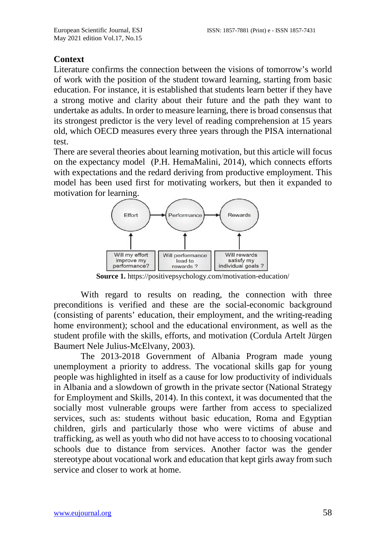#### **Context**

Literature confirms the connection between the visions of tomorrow's world of work with the position of the student toward learning, starting from basic education. For instance, it is established that students learn better if they have a strong motive and clarity about their future and the path they want to undertake as adults. In order to measure learning, there is broad consensus that its strongest predictor is the very level of reading comprehension at 15 years old, which OECD measures every three years through the PISA international test.

There are several theories about learning motivation, but this article will focus on the expectancy model (P.H. HemaMalini, 2014), which connects efforts with expectations and the redard deriving from productive employment. This model has been used first for motivating workers, but then it expanded to motivation for learning.



**Source 1.** <https://positivepsychology.com/motivation-education/>

With regard to results on reading, the connection with three preconditions is verified and these are the social-economic background (consisting of parents' education, their employment, and the writing-reading home environment); school and the educational environment, as well as the student profile with the skills, efforts, and motivation (Cordula Artelt Jürgen Baumert Nele Julius-McElvany, 2003).

The 2013-2018 Government of Albania Program made young unemployment a priority to address. The vocational skills gap for young people was highlighted in itself as a cause for low productivity of individuals in Albania and a slowdown of growth in the private sector (National Strategy for Employment and Skills, 2014). In this context, it was documented that the socially most vulnerable groups were farther from access to specialized services, such as: students without basic education, Roma and Egyptian children, girls and particularly those who were victims of abuse and trafficking, as well as youth who did not have access to to choosing vocational schools due to distance from services. Another factor was the gender stereotype about vocational work and education that kept girls away from such service and closer to work at home.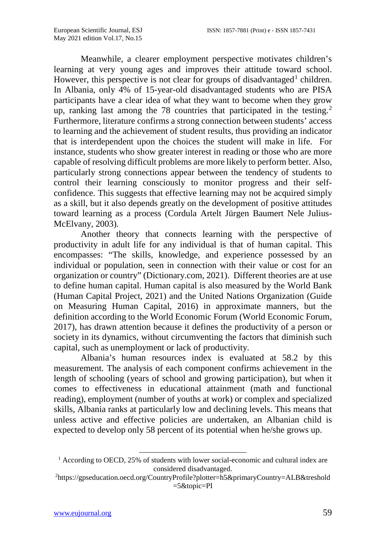Meanwhile, a clearer employment perspective motivates children's learning at very young ages and improves their attitude toward school. However, this perspective is not clear for groups of disadvantaged<sup>[1](#page-13-0)</sup> children. In Albania, only 4% of 15-year-old disadvantaged students who are PISA participants have a clear idea of what they want to become when they grow up, ranking last among the 78 countries that participated in the testing.<sup>[2](#page-2-0)</sup> Furthermore, literature confirms a strong connection between students' access to learning and the achievement of student results, thus providing an indicator that is interdependent upon the choices the student will make in life. For instance, students who show greater interest in reading or those who are more capable of resolving difficult problems are more likely to perform better. Also, particularly strong connections appear between the tendency of students to control their learning consciously to monitor progress and their selfconfidence. This suggests that effective learning may not be acquired simply as a skill, but it also depends greatly on the development of positive attitudes toward learning as a process (Cordula Artelt Jürgen Baumert Nele Julius-McElvany, 2003).

Another theory that connects learning with the perspective of productivity in adult life for any individual is that of human capital. This encompasses: "The skills, knowledge, and experience possessed by an individual or population, seen in connection with their value or cost for an organization or country" (Dictionary.com, 2021). Different theories are at use to define human capital. Human capital is also measured by the World Bank (Human Capital Project, 2021) and the United Nations Organization (Guide on Measuring Human Capital, 2016) in approximate manners, but the definition according to the World Economic Forum (World Economic Forum, 2017), has drawn attention because it defines the productivity of a person or society in its dynamics, without circumventing the factors that diminish such capital, such as unemployment or lack of productivity.

Albania's human resources index is evaluated at 58.2 by this measurement. The analysis of each component confirms achievement in the length of schooling (years of school and growing participation), but when it comes to effectiveness in educational attainment (math and functional reading), employment (number of youths at work) or complex and specialized skills, Albania ranks at particularly low and declining levels. This means that unless active and effective policies are undertaken, an Albanian child is expected to develop only 58 percent of its potential when he/she grows up.

<sup>&</sup>lt;sup>1</sup> According to OECD, 25% of students with lower social-economic and cultural index are considered disadvantaged.

<span id="page-2-0"></span><sup>2</sup> https://gpseducation.oecd.org/CountryProfile?plotter=h5&primaryCountry=ALB&treshold =5&topic=PI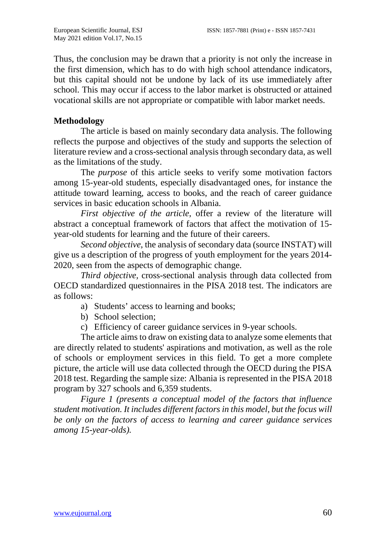Thus, the conclusion may be drawn that a priority is not only the increase in the first dimension, which has to do with high school attendance indicators, but this capital should not be undone by lack of its use immediately after school. This may occur if access to the labor market is obstructed or attained vocational skills are not appropriate or compatible with labor market needs.

## **Methodology**

The article is based on mainly secondary data analysis. The following reflects the purpose and objectives of the study and supports the selection of literature review and a cross-sectional analysis through secondary data, as well as the limitations of the study.

The *purpose* of this article seeks to verify some motivation factors among 15-year-old students, especially disadvantaged ones, for instance the attitude toward learning, access to books, and the reach of career guidance services in basic education schools in Albania.

*First objective of the article*, offer a review of the literature will abstract a conceptual framework of factors that affect the motivation of 15 year-old students for learning and the future of their careers.

*Second objective*, the analysis of secondary data (source INSTAT) will give us a description of the progress of youth employment for the years 2014- 2020, seen from the aspects of demographic change.

*Third objective,* cross-sectional analysis through data collected from OECD standardized questionnaires in the PISA 2018 test. The indicators are as follows:

- a) Students' access to learning and books;
- b) School selection;
- c) Efficiency of career guidance services in 9-year schools.

The article aims to draw on existing data to analyze some elements that are directly related to students' aspirations and motivation, as well as the role of schools or employment services in this field. To get a more complete picture, the article will use data collected through the OECD during the PISA 2018 test. Regarding the sample size: Albania is represented in the PISA 2018 program by 327 schools and 6,359 students.

*Figure 1 (presents a conceptual model of the factors that influence student motivation. It includes different factors in this model, but the focus will be only on the factors of access to learning and career guidance services among 15-year-olds).*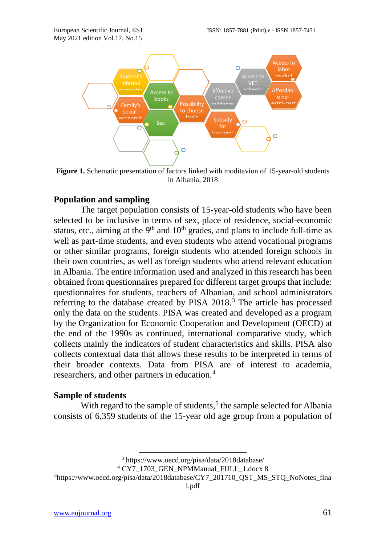

**Figure 1.** Schematic presentation of factors linked with moditavion of 15-year-old students in Albania, 2018

## **Population and sampling**

The target population consists of 15-year-old students who have been selected to be inclusive in terms of sex, place of residence, social-economic status, etc., aiming at the  $9<sup>th</sup>$  and  $10<sup>th</sup>$  grades, and plans to include full-time as well as part-time students, and even students who attend vocational programs or other similar programs, foreign students who attended foreign schools in their own countries, as well as foreign students who attend relevant education in Albania. The entire information used and analyzed in this research has been obtained from questionnaires prepared for different target groups that include: questionnaires for students, teachers of Albanian, and school administrators referring to the database created by PISA 2018.<sup>[3](#page-4-0)</sup> The article has processed only the data on the students. PISA was created and developed as a program by the Organization for Economic Cooperation and Development (OECD) at the end of the 1990s as continued, international comparative study, which collects mainly the indicators of student characteristics and skills. PISA also collects contextual data that allows these results to be interpreted in terms of their broader contexts. Data from PISA are of interest to academia, researchers, and other partners in education.<sup>[4](#page-4-1)</sup>

#### **Sample of students**

With regard to the sample of students,<sup>[5](#page-4-2)</sup> the sample selected for Albania consists of 6,359 students of the 15-year old age group from a population of

[l.pdf](https://www.oecd.org/pisa/data/2018database/CY7_201710_QST_MS_STQ_NoNotes_final.pdf)

 <sup>3</sup> <https://www.oecd.org/pisa/data/2018database/>

<sup>4</sup> CY7\_1703\_GEN\_NPMManual\_FULL\_1.docx 8

<span id="page-4-2"></span><span id="page-4-1"></span><span id="page-4-0"></span><sup>&</sup>lt;sup>5</sup>[https://www.oecd.org/pisa/data/2018database/CY7\\_201710\\_QST\\_MS\\_STQ\\_NoNotes\\_fina](https://www.oecd.org/pisa/data/2018database/CY7_201710_QST_MS_STQ_NoNotes_final.pdf)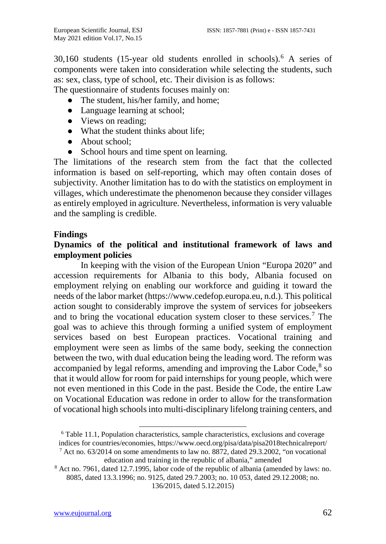$30,160$  $30,160$  $30,160$  students (15-year old students enrolled in schools).<sup>6</sup> A series of components were taken into consideration while selecting the students, such as: sex, class, type of school, etc. Their division is as follows:

The questionnaire of students focuses mainly on:

- The student, his/her family, and home;
- Language learning at school;
- Views on reading;
- What the student thinks about life;
- About school;
- School hours and time spent on learning.

The limitations of the research stem from the fact that the collected information is based on self-reporting, which may often contain doses of subjectivity. Another limitation has to do with the statistics on employment in villages, which underestimate the phenomenon because they consider villages as entirely employed in agriculture. Nevertheless, information is very valuable and the sampling is credible.

## **Findings**

# **Dynamics of the political and institutional framework of laws and employment policies**

In keeping with the vision of the European Union "Europa 2020" and accession requirements for Albania to this body, Albania focused on employment relying on enabling our workforce and guiding it toward the needs of the labor market (https://www.cedefop.europa.eu, n.d.). This political action sought to considerably improve the system of services for jobseekers and to bring the vocational education system closer to these services.<sup>[7](#page-5-1)</sup> The goal was to achieve this through forming a unified system of employment services based on best European practices. Vocational training and employment were seen as limbs of the same body, seeking the connection between the two, with dual education being the leading word. The reform was accompanied by legal reforms, amending and improving the Labor Code, $8$  so that it would allow for room for paid internships for young people, which were not even mentioned in this Code in the past. Beside the Code, the entire Law on Vocational Education was redone in order to allow for the transformation of vocational high schools into multi-disciplinary lifelong training centers, and

136/2015, dated 5.12.2015)

<span id="page-5-0"></span> <sup>6</sup> Table 11.1, Population characteristics, sample characteristics, exclusions and coverage indices for countries/economies,<https://www.oecd.org/pisa/data/pisa2018technicalreport/>  $^7$  Act no. 63/2014 on some amendments to law no. 8872, dated 29.3.2002, "on vocational

[education and training in the republic of albania," amended](http://www.akafp.gov.al/wp-content/uploads/2014/09/ligj_nr_63_dt_26_6_2014_18455_1.pdf)

<span id="page-5-2"></span><span id="page-5-1"></span><sup>8</sup> Act no. 7961, dated 12.7.1995, labor code of the republic of albania (amended by laws: no. 8085, dated 13.3.1996; no. 9125, dated 29.7.2003; no. 10 053, dated 29.12.2008; no.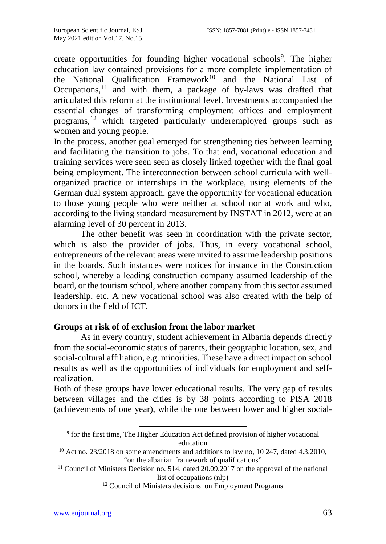create opportunities for founding higher vocational schools<sup>[9](#page-6-0)</sup>. The higher education law contained provisions for a more complete implementation of the National Qualification Framework<sup>[10](#page-6-1)</sup> and the National List of Occupations, $11$  and with them, a package of by-laws was drafted that articulated this reform at the institutional level. Investments accompanied the essential changes of transforming employment offices and employment programs,<sup>[12](#page-6-3)</sup> which targeted particularly underemployed groups such as women and young people.

In the process, another goal emerged for strengthening ties between learning and facilitating the transition to jobs. To that end, vocational education and training services were seen seen as closely linked together with the final goal being employment. The interconnection between school curricula with wellorganized practice or internships in the workplace, using elements of the German dual system approach, gave the opportunity for vocational education to those young people who were neither at school nor at work and who, according to the living standard measurement by INSTAT in 2012, were at an alarming level of 30 percent in 2013.

The other benefit was seen in coordination with the private sector, which is also the provider of jobs. Thus, in every vocational school, entrepreneurs of the relevant areas were invited to assume leadership positions in the boards. Such instances were notices for instance in the Construction school, whereby a leading construction company assumed leadership of the board, or the tourism school, where another company from this sector assumed leadership, etc. A new vocational school was also created with the help of donors in the field of ICT.

## **Groups at risk of of exclusion from the labor market**

As in every country, student achievement in Albania depends directly from the social-economic status of parents, their geographic location, sex, and social-cultural affiliation, e.g. minorities. These have a direct impact on school results as well as the opportunities of individuals for employment and selfrealization.

Both of these groups have lower educational results. The very gap of results between villages and the cities is by 38 points according to PISA 2018 (achievements of one year), while the one between lower and higher social-

<sup>12</sup> Council of Ministers decisions on Employment Programs

<sup>&</sup>lt;sup>9</sup> for the first time, The Higher Education Act defined provision of higher vocational education

<span id="page-6-1"></span><span id="page-6-0"></span> $10$  Act no. 23/2018 on some amendments and additions to law no, 10 247, dated 4.3.2010, ["on the albanian framework of qualifications"](http://www.akafp.gov.al/wp-content/uploads/2014/09/LIGJ-nr.-23-2018-date-10.5.2018.pdf)

<span id="page-6-3"></span><span id="page-6-2"></span><sup>&</sup>lt;sup>11</sup> Council of Ministers Decision no. 514, dated 20.09.2017 on the approval of the national [list of occupations \(nlp\)](http://www.akafp.gov.al/wp-content/uploads/2014/09/vendim-2017-09-20-514.pdf)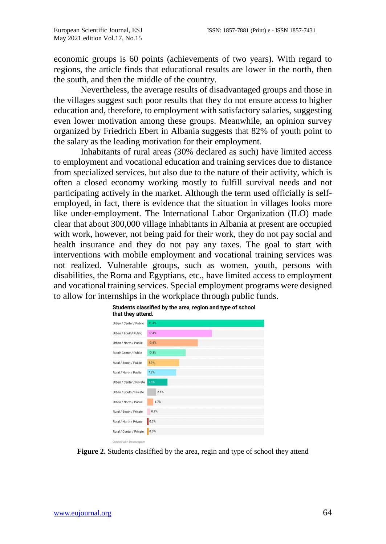economic groups is 60 points (achievements of two years). With regard to regions, the article finds that educational results are lower in the north, then the south, and then the middle of the country.

Nevertheless, the average results of disadvantaged groups and those in the villages suggest such poor results that they do not ensure access to higher education and, therefore, to employment with satisfactory salaries, suggesting even lower motivation among these groups. Meanwhile, an opinion survey organized by Friedrich Ebert in Albania suggests that 82% of youth point to the salary as the leading motivation for their employment.

Inhabitants of rural areas (30% declared as such) have limited access to employment and vocational education and training services due to distance from specialized services, but also due to the nature of their activity, which is often a closed economy working mostly to fulfill survival needs and not participating actively in the market. Although the term used officially is selfemployed, in fact, there is evidence that the situation in villages looks more like under-employment. The International Labor Organization (ILO) made clear that about 300,000 village inhabitants in Albania at present are occupied with work, however, not being paid for their work, they do not pay social and health insurance and they do not pay any taxes. The goal to start with interventions with mobile employment and vocational training services was not realized. Vulnerable groups, such as women, youth, persons with disabilities, the Roma and Egyptians, etc., have limited access to employment and vocational training services. Special employment programs were designed to allow for internships in the workplace through public funds.



Students classified by the area, region and type of school

**Figure 2.** Students clasiffied by the area, regin and type of school they attend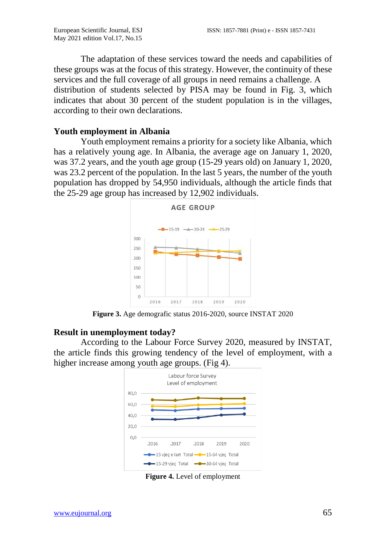The adaptation of these services toward the needs and capabilities of these groups was at the focus of this strategy. However, the continuity of these services and the full coverage of all groups in need remains a challenge. A distribution of students selected by PISA may be found in Fig. 3, which indicates that about 30 percent of the student population is in the villages, according to their own declarations.

#### **Youth employment in Albania**

Youth employment remains a priority for a society like Albania, which has a relatively young age. In Albania, the average age on January 1, 2020, was 37.2 years, and the youth age group (15-29 years old) on January 1, 2020, was 23.2 percent of the population. In the last 5 years, the number of the youth population has dropped by 54,950 individuals, although the article finds that the 25-29 age group has increased by 12,902 individuals.



**Figure 3.** Age demografic status 2016-2020, source INSTAT 2020 

#### **Result in unemployment today?**

According to the Labour Force Survey 2020, measured by INSTAT, the article finds this growing tendency of the level of employment, with a higher increase among youth age groups. (Fig 4).



**Figure 4.** Level of employment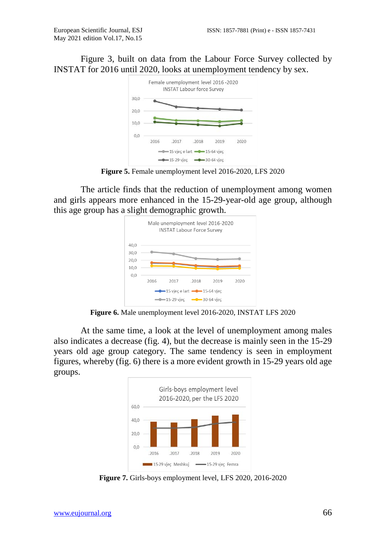Figure 3, built on data from the Labour Force Survey collected by INSTAT for 2016 until 2020, looks at unemployment tendency by sex.



**Figure 5.** Female unemployment level 2016-2020, LFS 2020

The article finds that the reduction of unemployment among women and girls appears more enhanced in the 15-29-year-old age group, although this age group has a slight demographic growth.



**Figure 6.** Male unemployment level 2016-2020, INSTAT LFS 2020

At the same time, a look at the level of unemployment among males also indicates a decrease (fig. 4), but the decrease is mainly seen in the 15-29 years old age group category. The same tendency is seen in employment figures, whereby (fig. 6) there is a more evident growth in 15-29 years old age groups.



**Figure 7.** Girls-boys employment level, LFS 2020, 2016-2020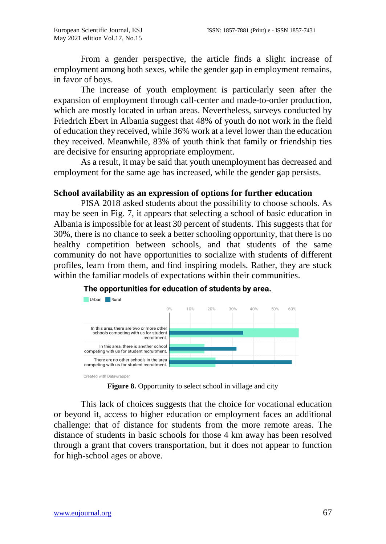From a gender perspective, the article finds a slight increase of employment among both sexes, while the gender gap in employment remains, in favor of boys.

The increase of youth employment is particularly seen after the expansion of employment through call-center and made-to-order production, which are mostly located in urban areas. Nevertheless, surveys conducted by Friedrich Ebert in Albania suggest that 48% of youth do not work in the field of education they received, while 36% work at a level lower than the education they received. Meanwhile, 83% of youth think that family or friendship ties are decisive for ensuring appropriate employment.

As a result, it may be said that youth unemployment has decreased and employment for the same age has increased, while the gender gap persists.

#### **School availability as an expression of options for further education**

PISA 2018 asked students about the possibility to choose schools. As may be seen in Fig. 7, it appears that selecting a school of basic education in Albania is impossible for at least 30 percent of students. This suggests that for 30%, there is no chance to seek a better schooling opportunity, that there is no healthy competition between schools, and that students of the same community do not have opportunities to socialize with students of different profiles, learn from them, and find inspiring models. Rather, they are stuck within the familiar models of expectations within their communities.



#### The opportunities for education of students by area.

Figure 8. Opportunity to select school in village and city

This lack of choices suggests that the choice for vocational education or beyond it, access to higher education or employment faces an additional challenge: that of distance for students from the more remote areas. The distance of students in basic schools for those 4 km away has been resolved through a grant that covers transportation, but it does not appear to function for high-school ages or above.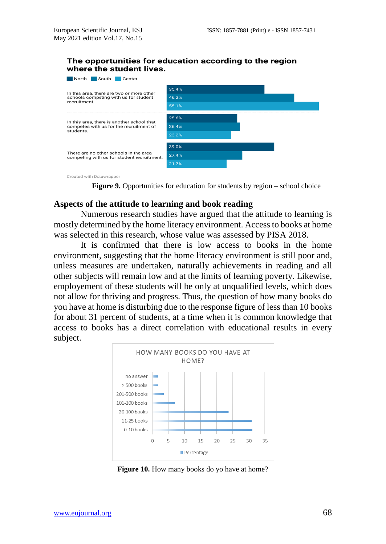#### The opportunities for education according to the region where the student lives.



Created with Datawrapper

#### **Aspects of the attitude to learning and book reading**

Numerous research studies have argued that the attitude to learning is mostly determined by the home literacy environment. Access to books at home was selected in this research, whose value was assessed by PISA 2018.

It is confirmed that there is low access to books in the home environment, suggesting that the home literacy environment is still poor and, unless measures are undertaken, naturally achievements in reading and all other subjects will remain low and at the limits of learning poverty. Likewise, employement of these students will be only at unqualified levels, which does not allow for thriving and progress. Thus, the question of how many books do you have at home is disturbing due to the response figure of less than 10 books for about 31 percent of students, at a time when it is common knowledge that access to books has a direct correlation with educational results in every subject.



**Figure 10.** How many books do yo have at home?

**Figure 9.** Opportunities for education for students by region – school choice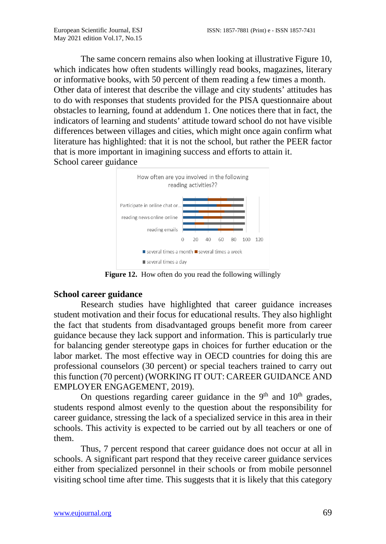The same concern remains also when looking at illustrative Figure 10, which indicates how often students willingly read books, magazines, literary or informative books, with 50 percent of them reading a few times a month. Other data of interest that describe the village and city students' attitudes has to do with responses that students provided for the PISA questionnaire about obstacles to learning, found at addendum 1. One notices there that in fact, the indicators of learning and students' attitude toward school do not have visible differences between villages and cities, which might once again confirm what literature has highlighted: that it is not the school, but rather the PEER factor that is more important in imagining success and efforts to attain it. School career guidance



**Figure 12.** How often do you read the following willingly

#### **School career guidance**

Research studies have highlighted that career guidance increases student motivation and their focus for educational results. They also highlight the fact that students from disadvantaged groups benefit more from career guidance because they lack support and information. This is particularly true for balancing gender stereotype gaps in choices for further education or the labor market. The most effective way in OECD countries for doing this are professional counselors (30 percent) or special teachers trained to carry out this function (70 percent) (WORKING IT OUT: CAREER GUIDANCE AND EMPLOYER ENGAGEMENT, 2019).

On questions regarding career guidance in the  $9<sup>th</sup>$  and  $10<sup>th</sup>$  grades, students respond almost evenly to the question about the responsibility for career guidance, stressing the lack of a specialized service in this area in their schools. This activity is expected to be carried out by all teachers or one of them.

Thus, 7 percent respond that career guidance does not occur at all in schools. A significant part respond that they receive career guidance services either from specialized personnel in their schools or from mobile personnel visiting school time after time. This suggests that it is likely that this category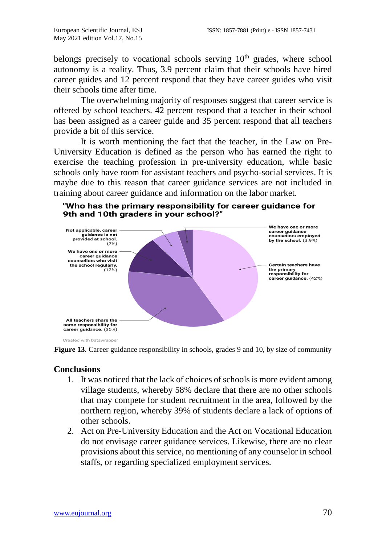belongs precisely to vocational schools serving  $10<sup>th</sup>$  grades, where school autonomy is a reality. Thus, 3.9 percent claim that their schools have hired career guides and 12 percent respond that they have career guides who visit their schools time after time.

The overwhelming majority of responses suggest that career service is offered by school teachers. 42 percent respond that a teacher in their school has been assigned as a career guide and 35 percent respond that all teachers provide a bit of this service.

It is worth mentioning the fact that the teacher, in the Law on Pre-University Education is defined as the person who has earned the right to exercise the teaching profession in pre-university education, while basic schools only have room for assistant teachers and psycho-social services. It is maybe due to this reason that career guidance services are not included in training about career guidance and information on the labor market.





**Figure 13.** Career guidance responsibility in schools, grades 9 and 10, by size of community

## **Conclusions**

- 1. It was noticed that the lack of choices of schools is more evident among village students, whereby 58% declare that there are no other schools that may compete for student recruitment in the area, followed by the northern region, whereby 39% of students declare a lack of options of other schools.
- <span id="page-13-0"></span>2. Act on Pre-University Education and the Act on Vocational Education do not envisage career guidance services. Likewise, there are no clear provisions about this service, no mentioning of any counselor in school staffs, or regarding specialized employment services.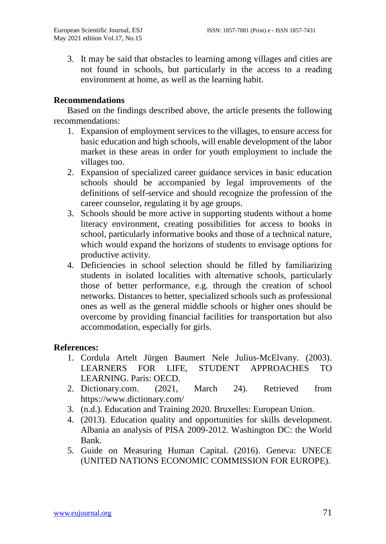3. It may be said that obstacles to learning among villages and cities are not found in schools, but particularly in the access to a reading environment at home, as well as the learning habit.

# **Recommendations**

Based on the findings described above, the article presents the following recommendations:

- 1. Expansion of employment services to the villages, to ensure access for basic education and high schools, will enable development of the labor market in these areas in order for youth employment to include the villages too.
- 2. Expansion of specialized career guidance services in basic education schools should be accompanied by legal improvements of the definitions of self-service and should recognize the profession of the career counselor, regulating it by age groups.
- 3. Schools should be more active in supporting students without a home literacy environment, creating possibilities for access to books in school, particularly informative books and those of a technical nature, which would expand the horizons of students to envisage options for productive activity.
- 4. Deficiencies in school selection should be filled by familiarizing students in isolated localities with alternative schools, particularly those of better performance, e.g. through the creation of school networks. Distances to better, specialized schools such as professional ones as well as the general middle schools or higher ones should be overcome by providing financial facilities for transportation but also accommodation, especially for girls.

## **References:**

- 1. Cordula Artelt Jürgen Baumert Nele Julius-McElvany. (2003). LEARNERS FOR LIFE, STUDENT APPROACHES TO LEARNING. Paris: OECD.
- 2. Dictionary.com. (2021, March 24). Retrieved from https://www.dictionary.com/
- 3. (n.d.). Education and Training 2020. Bruxelles: European Union.
- 4. (2013). Education quality and opportunities for skills development. Albania an analysis of PISA 2009-2012. Washington DC: the World Bank.
- 5. Guide on Measuring Human Capital. (2016). Geneva: UNECE (UNITED NATIONS ECONOMIC COMMISSION FOR EUROPE).